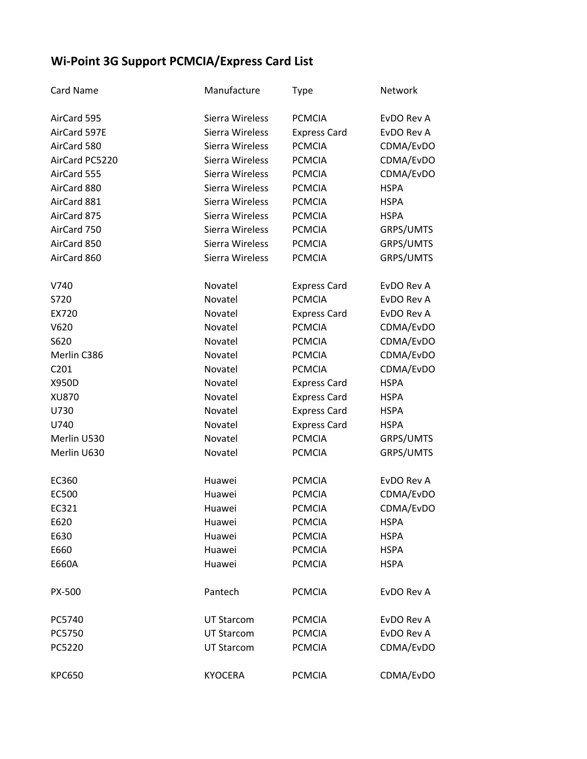## **Wi-Point 3G Support PCMCIA/Express Card List**

| <b>Card Name</b> | Manufacture       | <b>Type</b>         | Network     |
|------------------|-------------------|---------------------|-------------|
| AirCard 595      | Sierra Wireless   | <b>PCMCIA</b>       | EvDO Rev A  |
| AirCard 597E     | Sierra Wireless   | <b>Express Card</b> | EvDO Rev A  |
| AirCard 580      | Sierra Wireless   | <b>PCMCIA</b>       | CDMA/EvDO   |
| AirCard PC5220   | Sierra Wireless   | <b>PCMCIA</b>       | CDMA/EvDO   |
| AirCard 555      | Sierra Wireless   | <b>PCMCIA</b>       | CDMA/EvDO   |
| AirCard 880      | Sierra Wireless   | <b>PCMCIA</b>       | <b>HSPA</b> |
| AirCard 881      | Sierra Wireless   | <b>PCMCIA</b>       | <b>HSPA</b> |
| AirCard 875      | Sierra Wireless   | <b>PCMCIA</b>       | <b>HSPA</b> |
| AirCard 750      | Sierra Wireless   | <b>PCMCIA</b>       | GRPS/UMTS   |
| AirCard 850      | Sierra Wireless   | <b>PCMCIA</b>       | GRPS/UMTS   |
| AirCard 860      | Sierra Wireless   | <b>PCMCIA</b>       | GRPS/UMTS   |
| V740             | Novatel           | <b>Express Card</b> | EvDO Rev A  |
| S720             | Novatel           | <b>PCMCIA</b>       | EvDO Rev A  |
| EX720            | Novatel           | <b>Express Card</b> | EvDO Rev A  |
| V620             | Novatel           | <b>PCMCIA</b>       | CDMA/EvDO   |
| S620             | Novatel           | <b>PCMCIA</b>       | CDMA/EvDO   |
| Merlin C386      | Novatel           | <b>PCMCIA</b>       | CDMA/EvDO   |
| C201             | Novatel           | <b>PCMCIA</b>       | CDMA/EvDO   |
| X950D            | Novatel           | <b>Express Card</b> | <b>HSPA</b> |
| XU870            | Novatel           | <b>Express Card</b> | <b>HSPA</b> |
| U730             | Novatel           | <b>Express Card</b> | <b>HSPA</b> |
| U740             | Novatel           | <b>Express Card</b> | <b>HSPA</b> |
| Merlin U530      | Novatel           | <b>PCMCIA</b>       | GRPS/UMTS   |
| Merlin U630      | Novatel           | <b>PCMCIA</b>       | GRPS/UMTS   |
| EC360            | Huawei            | <b>PCMCIA</b>       | EvDO Rev A  |
| EC500            | Huawei            | <b>PCMCIA</b>       | CDMA/EvDO   |
| EC321            | Huawei            | <b>PCMCIA</b>       | CDMA/EvDO   |
| E620             | Huawei            | <b>PCMCIA</b>       | <b>HSPA</b> |
| E630             | Huawei            | <b>PCMCIA</b>       | <b>HSPA</b> |
| E660             | Huawei            | <b>PCMCIA</b>       | <b>HSPA</b> |
| E660A            | Huawei            | <b>PCMCIA</b>       | <b>HSPA</b> |
| PX-500           | Pantech           | <b>PCMCIA</b>       | EvDO Rev A  |
| PC5740           | <b>UT Starcom</b> | <b>PCMCIA</b>       | EvDO Rev A  |
| PC5750           | <b>UT Starcom</b> | <b>PCMCIA</b>       | EvDO Rev A  |
| PC5220           | <b>UT Starcom</b> | <b>PCMCIA</b>       | CDMA/EvDO   |
| <b>KPC650</b>    | <b>KYOCERA</b>    | <b>PCMCIA</b>       | CDMA/EvDO   |